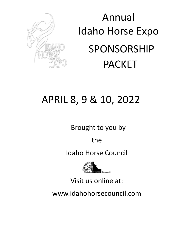

# Annual Idaho Horse Expo SPONSORSHIP PACKET

## APRIL 8, 9 & 10, 2022

Brought to you by

the

Idaho Horse Council



Visit us online at:

www.idahohorsecouncil.com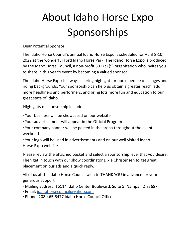## About Idaho Horse Expo Sponsorships

Dear Potential Sponsor:

The Idaho Horse Council's annual Idaho Horse Expo is scheduled for April 8-10, 2022 at the wonderful Ford Idaho Horse Park. The Idaho Horse Expo is produced by the Idaho Horse Council, a non-profit 501 (c) (5) organization who invites you to share in this year's event by becoming a valued sponsor.

The Idaho Horse Expo is always a spring highlight for horse people of all ages and riding backgrounds. Your sponsorship can help us obtain a greater reach, add more headliners and performers, and bring lots more fun and education to our great state of Idaho.

Highlights of sponsorship include:

- ∙ Your business will be showcased on our website
- ∙ Your advertisement will appear in the Official Program
- ∙ Your company banner will be posted in the arena throughout the event weekend

∙ Your logo will be used in advertisements and on our well visited Idaho Horse Expo website

Please review the attached packet and select a sponsorship level that you desire. Then get in touch with our show coordinator Dixie Christensen to get great placement on our ads and a quick reply.

All of us at the Idaho Horse Council wish to THANK YOU in advance for your generous support.

- ∙ Mailing address: 16114 Idaho Center Boulevard, Suite 5, Nampa, ID 83687
- ∙ Email: idahohorsecouncil@yahoo.com
- ∙ Phone: 208-465-5477 Idaho Horse Council Office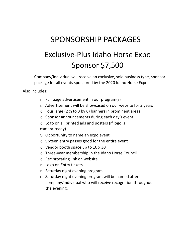## SPONSORSHIP PACKAGES Exclusive-Plus Idaho Horse Expo Sponsor \$7,500

Company/Individual will receive an exclusive, sole business type, sponsor package for all events sponsored by the 2020 Idaho Horse Expo.

Also includes:

- o Full page advertisement in our program(s)
- o Advertisement will be showcased on our website for 3 years
- $\circ$  Four large (2  $\frac{1}{2}$  to 3 by 6) banners in prominent areas
- o Sponsor announcements during each day's event
- o Logo on all printed ads and posters (if logo is camera-ready)
- $\circ$  Opportunity to name an expo event
- o Sixteen entry passes good for the entire event
- o Vendor booth space up to 10 x 30
- o Three-year membership in the Idaho Horse Council
- o Reciprocating link on website
- o Logo on Entry tickets
- o Saturday night evening program
- o Saturday night evening program will be named after company/individual who will receive recognition throughout the evening.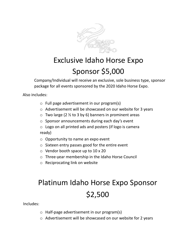

#### Exclusive Idaho Horse Expo Sponsor \$5,000

Company/Individual will receive an exclusive, sole business type, sponsor package for all events sponsored by the 2020 Idaho Horse Expo.

Also includes:

- o Full page advertisement in our program(s)
- o Advertisement will be showcased on our website for 3 years
- $\circ$  Two large (2  $\frac{1}{2}$  to 3 by 6) banners in prominent areas
- o Sponsor announcements during each day's event

o Logo on all printed ads and posters (if logo is camera ready)

- o Opportunity to name an expo event
- o Sixteen entry passes good for the entire event
- $\circ$  Vendor booth space up to 10 x 20
- o Three-year membership in the Idaho Horse Council
- o Reciprocating link on website

### Platinum Idaho Horse Expo Sponsor \$2,500

Includes:

- o Half-page advertisement in our program(s)
- o Advertisement will be showcased on our website for 2 years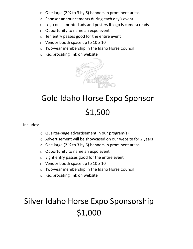- $\circ$  One large (2  $\frac{1}{2}$  to 3 by 6) banners in prominent areas
- o Sponsor announcements during each day's event
- o Logo on all printed ads and posters if logo is camera ready
- $\circ$  Opportunity to name an expo event
- o Ten entry passes good for the entire event
- $\circ$  Vendor booth space up to 10 x 10
- o Two-year membership in the Idaho Horse Council
- o Reciprocating link on website



## Gold Idaho Horse Expo Sponsor \$1,500

Includes:

- o Quarter-page advertisement in our program(s)
- o Advertisement will be showcased on our website for 2 years
- $\circ$  One large (2  $\frac{1}{2}$  to 3 by 6) banners in prominent areas
- o Opportunity to name an expo event
- o Eight entry passes good for the entire event
- $\circ$  Vendor booth space up to 10 x 10
- o Two-year membership in the Idaho Horse Council
- o Reciprocating link on website

### Silver Idaho Horse Expo Sponsorship \$1,000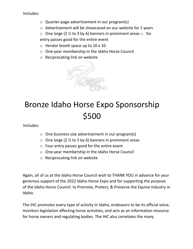Includes:

- o Quarter-page advertisement in our program(s)
- o Advertisement will be showcased on our website for 1 years
- $\circ$  One large (2 % to 3 by 6) banners in prominent areas  $\circ$  Six entry passes good for the entire event
- o Vendor booth space up to 10 x 10
- o One-year membership in the Idaho Horse Council
- o Reciprocating link on website



#### Bronze Idaho Horse Expo Sponsorship \$500

Includes:

- o One business size advertisement in our program(s)
- $\circ$  One large (2  $\frac{1}{2}$  to 3 by 6) banners in prominent areas
- o Four entry passes good for the entire event
- o One-year membership in the Idaho Horse Council
- o Reciprocating link on website

Again, all of us at the Idaho Horse Council wish to THANK YOU in advance for your generous support of the 2022 Idaho Horse Expo and for supporting the purpose of the Idaho Horse Council: to Promote, Protect, & Preserve the Equine Industry in Idaho.

The IHC promotes every type of activity in Idaho, endeavors to be its official voice, monitors legislation affecting horse activities, and acts as an information resource for horse owners and regulating bodies. The IHC also correlates the many